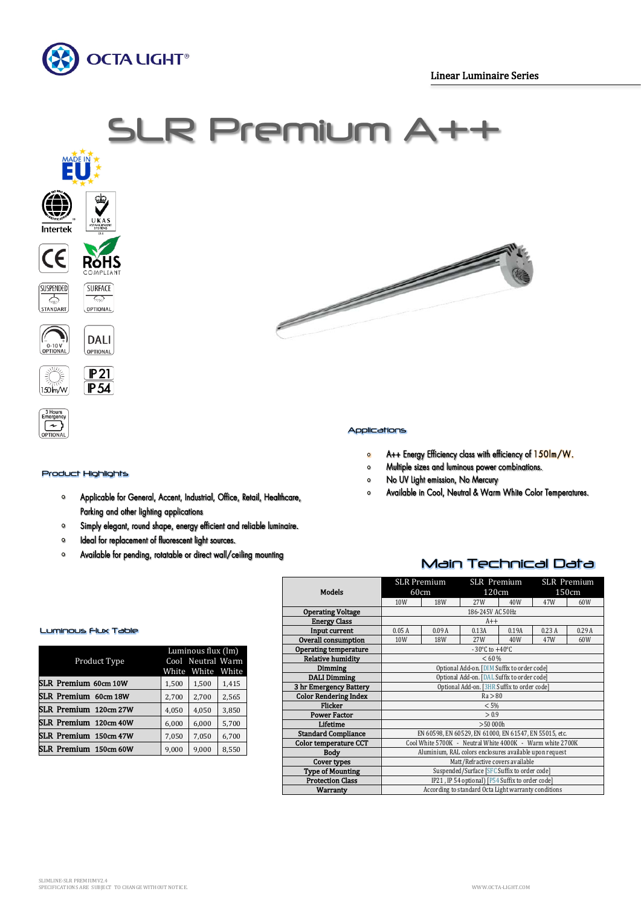





#### Applications

- A++ Energy Efficiency class with efficiency of 150lm/W.  $\circ$
- Multiple sizes and luminous power combinations.  $\bullet$
- $\bullet$ No UV Light emission, No Mercury
- Available in Cool, Neutral & Warm White Color Temperatures.  $\bullet$

# Luminous Flux Table

Product Highlights

 $\bullet$ 

 $\bullet$  $\bullet$ 

 $\circ$ 

3 Hours<br>Emergen  $\rightarrow$ 

| Product Type          | Luminous flux (lm)<br>Cool Neutral Warm<br>White White White |       |       |  |
|-----------------------|--------------------------------------------------------------|-------|-------|--|
| SLR Premium 60cm 10W  | 1,500                                                        | 1,500 | 1,415 |  |
| SLR Premium 60cm 18W  | 2,700                                                        | 2,700 | 2,565 |  |
| SLR Premium 120cm 27W | 4,050                                                        | 4,050 | 3,850 |  |
| SLR Premium 120cm 40W | 6,000                                                        | 6,000 | 5,700 |  |
| SLR Premium 150cm 47W | 7,050                                                        | 7,050 | 6,700 |  |
| SLR Premium 150cm 60W | 9,000                                                        | 9,000 | 8,550 |  |

Parking and other lighting applications

Ideal for replacement of fluorescent light sources.

Applicable for General, Accent, Industrial, Office, Retail, Healthcare,

Simply elegant, round shape, energy efficient and reliable luminaire.

Available for pending, rotatable or direct wall/ceiling mounting

## Main Technical Data

| <b>Models</b>                | <b>SLR Premium</b><br>60cm                                |       | <b>SLR</b> Premium<br>120cm |       | <b>SLR</b> Premium<br>150cm |       |  |
|------------------------------|-----------------------------------------------------------|-------|-----------------------------|-------|-----------------------------|-------|--|
|                              | 10W                                                       | 18W   | 27W                         | 40W   | 47W                         | 60W   |  |
| <b>Operating Voltage</b>     | 186-245V AC 50Hz                                          |       |                             |       |                             |       |  |
| <b>Energy Class</b>          | $A++$                                                     |       |                             |       |                             |       |  |
| Input current                | 0.05A                                                     | 0.09A | 0.13A                       | 0.19A | 0.23A                       | 0.29A |  |
| <b>Overall consumption</b>   | 10W                                                       | 18W   | 27W                         | 40W   | 47W                         | 60W   |  |
| <b>Operating temperature</b> | $-30^{\circ}$ C to $+40^{\circ}$ C                        |       |                             |       |                             |       |  |
| <b>Relative humidity</b>     | < 60 %                                                    |       |                             |       |                             |       |  |
| <b>Dimming</b>               | Optional Add-on. [DIM Suffix to order code]               |       |                             |       |                             |       |  |
| <b>DALI Dimming</b>          | Optional Add-on. [DAL Suffix to order code]               |       |                             |       |                             |       |  |
| 3 hr Emergency Battery       | Optional Add-on. [3HR Suffix to order code]               |       |                             |       |                             |       |  |
| <b>Color Rendering Index</b> | Ra > 80                                                   |       |                             |       |                             |       |  |
| <b>Flicker</b>               | < 5%                                                      |       |                             |       |                             |       |  |
| <b>Power Factor</b>          | > 0.9                                                     |       |                             |       |                             |       |  |
| Lifetime                     | >50000h                                                   |       |                             |       |                             |       |  |
| <b>Standard Compliance</b>   | EN 60598, EN 60529, EN 61000, EN 61547, EN 55015, etc.    |       |                             |       |                             |       |  |
| Color temperature CCT        | Cool White 5700K - Neutral White 4000K - Warm white 2700K |       |                             |       |                             |       |  |
| <b>Body</b>                  | Aluminium, RAL colors enclosures available upon request   |       |                             |       |                             |       |  |
| Cover types                  | Matt/Refractive covers available                          |       |                             |       |                             |       |  |
| <b>Type of Mounting</b>      | Suspended/Surface [SFC Suffix to order code]              |       |                             |       |                             |       |  |
| <b>Protection Class</b>      | IP21, IP 54 optional) [P54 Suffix to order code]          |       |                             |       |                             |       |  |
| Warranty                     | According to standard Octa Light warranty conditions      |       |                             |       |                             |       |  |